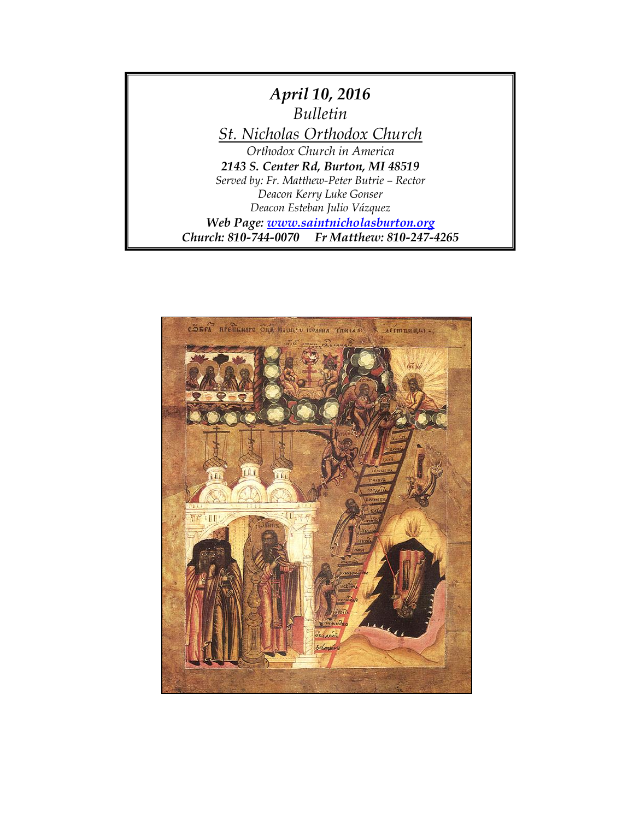

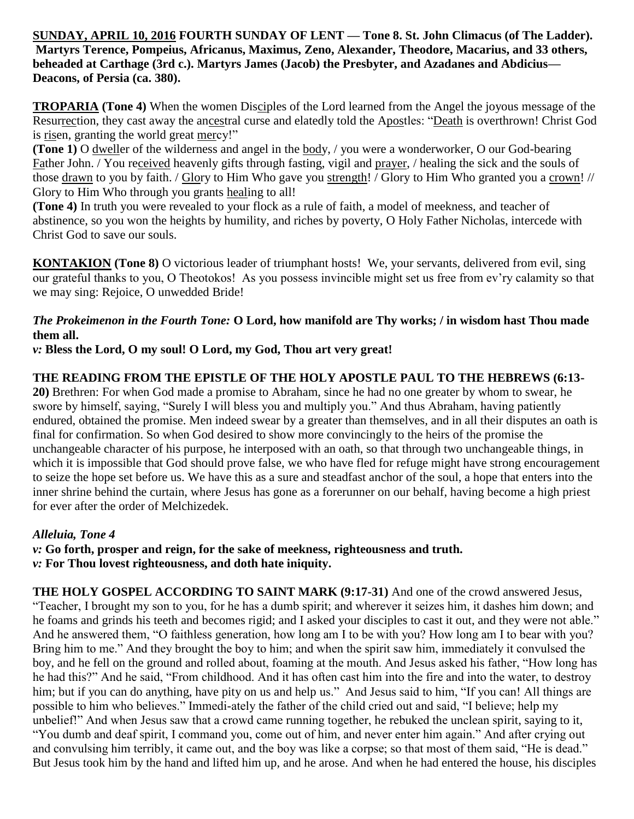**SUNDAY, APRIL 10, 2016 FOURTH SUNDAY OF LENT — Tone 8. St. John Climacus (of The Ladder). Martyrs Terence, Pompeius, Africanus, Maximus, Zeno, Alexander, Theodore, Macarius, and 33 others, beheaded at Carthage (3rd c.). Martyrs James (Jacob) the Presbyter, and Azadanes and Abdicius— Deacons, of Persia (ca. 380).**

**TROPARIA (Tone 4)** When the women Disciples of the Lord learned from the Angel the joyous message of the Resurrection, they cast away the ancestral curse and elatedly told the Apostles: "Death is overthrown! Christ God is risen, granting the world great mercy!"

**(Tone 1)** O dweller of the wilderness and angel in the body, / you were a wonderworker, O our God-bearing Father John. / You received heavenly gifts through fasting, vigil and prayer, / healing the sick and the souls of those drawn to you by faith. / Glory to Him Who gave you strength! / Glory to Him Who granted you a crown! // Glory to Him Who through you grants healing to all!

**(Tone 4)** In truth you were revealed to your flock as a rule of faith, a model of meekness, and teacher of abstinence, so you won the heights by humility, and riches by poverty, O Holy Father Nicholas, intercede with Christ God to save our souls.

**KONTAKION (Tone 8)** O victorious leader of triumphant hosts! We, your servants, delivered from evil, sing our grateful thanks to you, O Theotokos! As you possess invincible might set us free from ev'ry calamity so that we may sing: Rejoice, O unwedded Bride!

### *The Prokeimenon in the Fourth Tone:* **O Lord, how manifold are Thy works; / in wisdom hast Thou made them all.**

*v:* **Bless the Lord, O my soul! O Lord, my God, Thou art very great!**

## **THE READING FROM THE EPISTLE OF THE HOLY APOSTLE PAUL TO THE HEBREWS (6:13-**

**20)** Brethren: For when God made a promise to Abraham, since he had no one greater by whom to swear, he swore by himself, saying, "Surely I will bless you and multiply you." And thus Abraham, having patiently endured, obtained the promise. Men indeed swear by a greater than themselves, and in all their disputes an oath is final for confirmation. So when God desired to show more convincingly to the heirs of the promise the unchangeable character of his purpose, he interposed with an oath, so that through two unchangeable things, in which it is impossible that God should prove false, we who have fled for refuge might have strong encouragement to seize the hope set before us. We have this as a sure and steadfast anchor of the soul, a hope that enters into the inner shrine behind the curtain, where Jesus has gone as a forerunner on our behalf, having become a high priest for ever after the order of Melchizedek.

### *Alleluia, Tone 4*

*v:* **Go forth, prosper and reign, for the sake of meekness, righteousness and truth.** *v:* **For Thou lovest righteousness, and doth hate iniquity.**

**THE HOLY GOSPEL ACCORDING TO SAINT MARK (9:17-31)** And one of the crowd answered Jesus, "Teacher, I brought my son to you, for he has a dumb spirit; and wherever it seizes him, it dashes him down; and he foams and grinds his teeth and becomes rigid; and I asked your disciples to cast it out, and they were not able." And he answered them, "O faithless generation, how long am I to be with you? How long am I to bear with you? Bring him to me." And they brought the boy to him; and when the spirit saw him, immediately it convulsed the boy, and he fell on the ground and rolled about, foaming at the mouth. And Jesus asked his father, "How long has he had this?" And he said, "From childhood. And it has often cast him into the fire and into the water, to destroy him; but if you can do anything, have pity on us and help us." And Jesus said to him, "If you can! All things are possible to him who believes." Immedi-ately the father of the child cried out and said, "I believe; help my unbelief!" And when Jesus saw that a crowd came running together, he rebuked the unclean spirit, saying to it, "You dumb and deaf spirit, I command you, come out of him, and never enter him again." And after crying out and convulsing him terribly, it came out, and the boy was like a corpse; so that most of them said, "He is dead." But Jesus took him by the hand and lifted him up, and he arose. And when he had entered the house, his disciples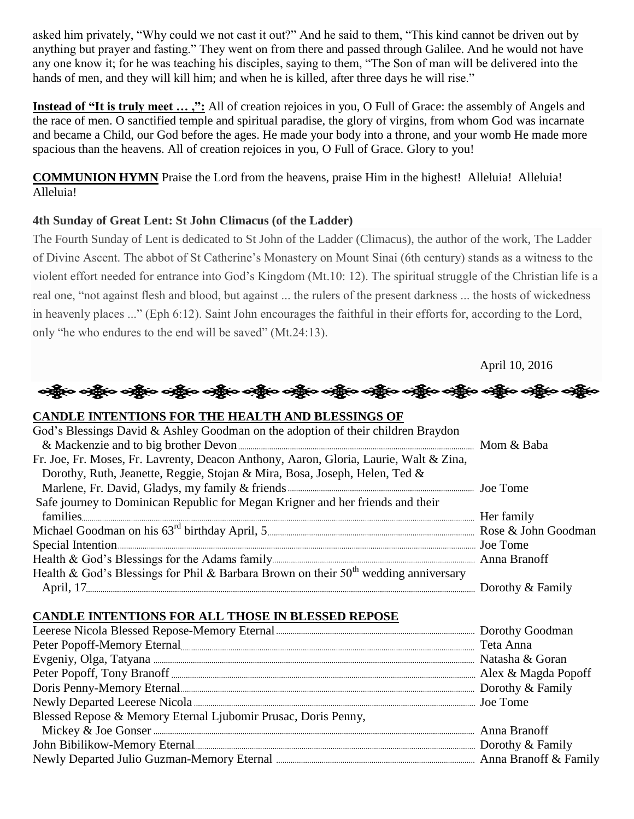asked him privately, "Why could we not cast it out?" And he said to them, "This kind cannot be driven out by anything but prayer and fasting." They went on from there and passed through Galilee. And he would not have any one know it; for he was teaching his disciples, saying to them, "The Son of man will be delivered into the hands of men, and they will kill him; and when he is killed, after three days he will rise."

**Instead of "It is truly meet ...,":** All of creation rejoices in you, O Full of Grace: the assembly of Angels and the race of men. O sanctified temple and spiritual paradise, the glory of virgins, from whom God was incarnate and became a Child, our God before the ages. He made your body into a throne, and your womb He made more spacious than the heavens. All of creation rejoices in you, O Full of Grace. Glory to you!

**COMMUNION HYMN** Praise the Lord from the heavens, praise Him in the highest! Alleluia! Alleluia! Alleluia!

#### **4th Sunday of Great Lent: St John Climacus (of the Ladder)**

The Fourth Sunday of Lent is dedicated to St John of the Ladder (Climacus), the author of the work, The Ladder of Divine Ascent. The abbot of St Catherine's Monastery on Mount Sinai (6th century) stands as a witness to the violent effort needed for entrance into God's Kingdom (Mt.10: 12). The spiritual struggle of the Christian life is a real one, "not against flesh and blood, but against ... the rulers of the present darkness ... the hosts of wickedness in heavenly places ..." (Eph 6:12). Saint John encourages the faithful in their efforts for, according to the Lord, only "he who endures to the end will be saved" (Mt.24:13).

April 10, 2016

# န္ကြိုးေခါ့္ကိုေခါ့္ကိုေခါ့္ကိုေခါ့္ကိုေခါ့္ကိုေခါ့္ကိုေခါ့္ကိုေခါ့္ကိုေခါ့္ကိုေခါ့္ကိုေခါ့္ကိုေခါ့္ကိုေ

| <b>CANDLE INTENTIONS FOR THE HEALTH AND BLESSINGS OF</b>                              |  |
|---------------------------------------------------------------------------------------|--|
| God's Blessings David & Ashley Goodman on the adoption of their children Braydon      |  |
|                                                                                       |  |
| Fr. Joe, Fr. Moses, Fr. Lavrenty, Deacon Anthony, Aaron, Gloria, Laurie, Walt & Zina, |  |
| Dorothy, Ruth, Jeanette, Reggie, Stojan & Mira, Bosa, Joseph, Helen, Ted &            |  |
|                                                                                       |  |
| Safe journey to Dominican Republic for Megan Krigner and her friends and their        |  |
|                                                                                       |  |
|                                                                                       |  |
|                                                                                       |  |
|                                                                                       |  |
| Health & God's Blessings for Phil & Barbara Brown on their $50th$ wedding anniversary |  |
|                                                                                       |  |

## **CANDLE INTENTIONS FOR ALL THOSE IN BLESSED REPOSE**

| Blessed Repose & Memory Eternal Ljubomir Prusac, Doris Penny, |  |
|---------------------------------------------------------------|--|
|                                                               |  |
|                                                               |  |
|                                                               |  |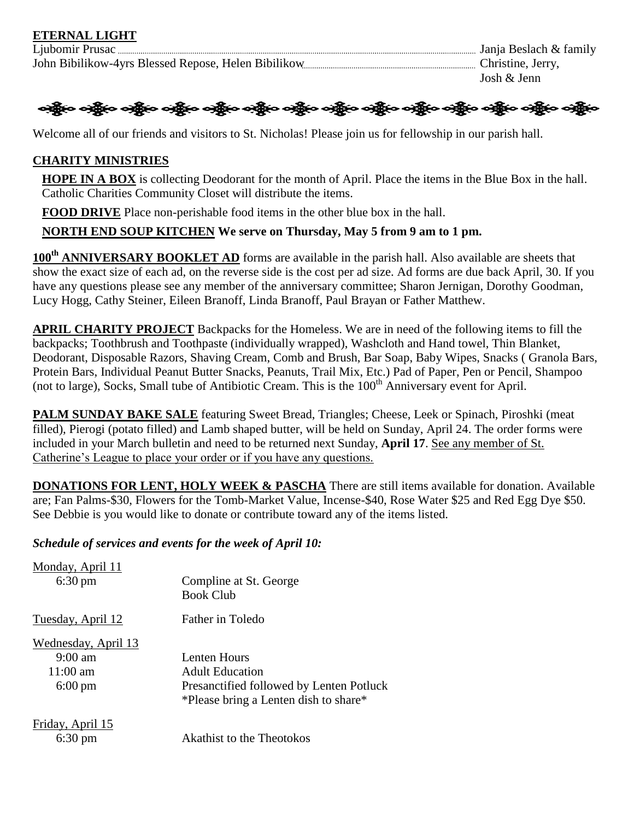

Welcome all of our friends and visitors to St. Nicholas! Please join us for fellowship in our parish hall.

### **CHARITY MINISTRIES**

**HOPE IN A BOX** is collecting Deodorant for the month of April. Place the items in the Blue Box in the hall. Catholic Charities Community Closet will distribute the items.

**FOOD DRIVE** Place non-perishable food items in the other blue box in the hall.

## **NORTH END SOUP KITCHEN We serve on Thursday, May 5 from 9 am to 1 pm.**

**100th ANNIVERSARY BOOKLET AD** forms are available in the parish hall. Also available are sheets that show the exact size of each ad, on the reverse side is the cost per ad size. Ad forms are due back April, 30. If you have any questions please see any member of the anniversary committee; Sharon Jernigan, Dorothy Goodman, Lucy Hogg, Cathy Steiner, Eileen Branoff, Linda Branoff, Paul Brayan or Father Matthew.

**APRIL CHARITY PROJECT** Backpacks for the Homeless. We are in need of the following items to fill the backpacks; Toothbrush and Toothpaste (individually wrapped), Washcloth and Hand towel, Thin Blanket, Deodorant, Disposable Razors, Shaving Cream, Comb and Brush, Bar Soap, Baby Wipes, Snacks ( Granola Bars, Protein Bars, Individual Peanut Butter Snacks, Peanuts, Trail Mix, Etc.) Pad of Paper, Pen or Pencil, Shampoo (not to large), Socks, Small tube of Antibiotic Cream. This is the 100<sup>th</sup> Anniversary event for April.

**PALM SUNDAY BAKE SALE** featuring Sweet Bread, Triangles; Cheese, Leek or Spinach, Piroshki (meat filled), Pierogi (potato filled) and Lamb shaped butter, will be held on Sunday, April 24. The order forms were included in your March bulletin and need to be returned next Sunday, **April 17**. See any member of St. Catherine's League to place your order or if you have any questions.

**DONATIONS FOR LENT, HOLY WEEK & PASCHA** There are still items available for donation. Available are; Fan Palms-\$30, Flowers for the Tomb-Market Value, Incense-\$40, Rose Water \$25 and Red Egg Dye \$50. See Debbie is you would like to donate or contribute toward any of the items listed.

### *Schedule of services and events for the week of April 10:*

| Monday, April 11                      | Compline at St. George                   |
|---------------------------------------|------------------------------------------|
| $6:30 \text{ pm}$                     | <b>Book Club</b>                         |
| Tuesday, April 12                     | <b>Father in Toledo</b>                  |
| <u>Wednesday, April 13</u>            | Lenten Hours                             |
| $9:00 \text{ am}$                     | <b>Adult Education</b>                   |
| $11:00 \text{ am}$                    | Presanctified followed by Lenten Potluck |
| $6:00 \text{ pm}$                     | *Please bring a Lenten dish to share*    |
| Friday, April 15<br>$6:30 \text{ pm}$ | Akathist to the Theotokos                |